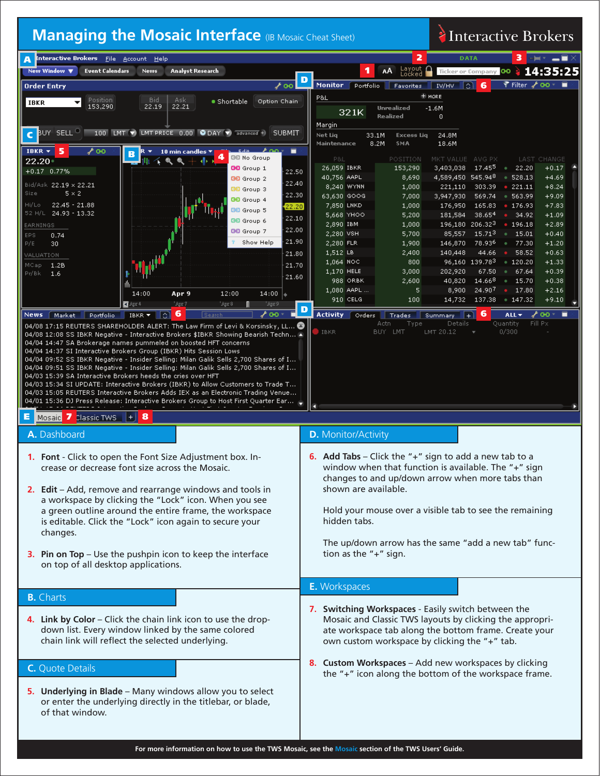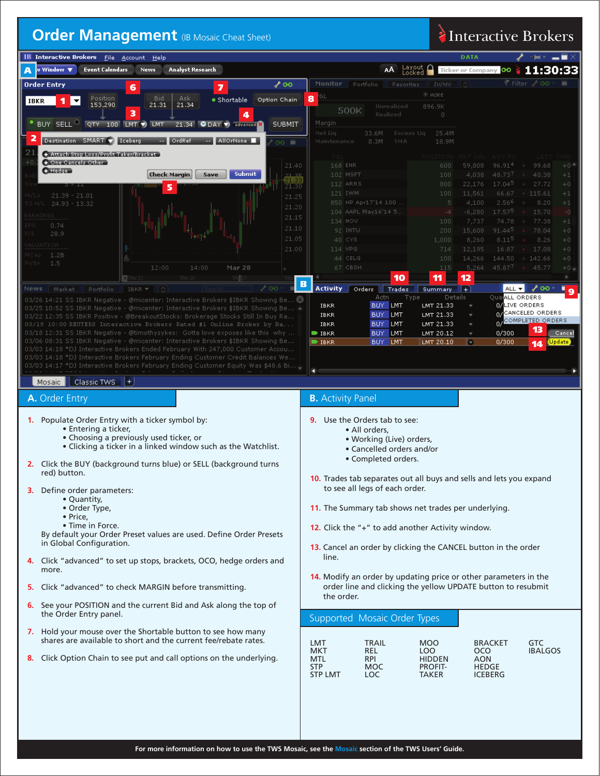### **Order Management** (IB Mosaic Cheat Sheet) **Interactive Brokers**

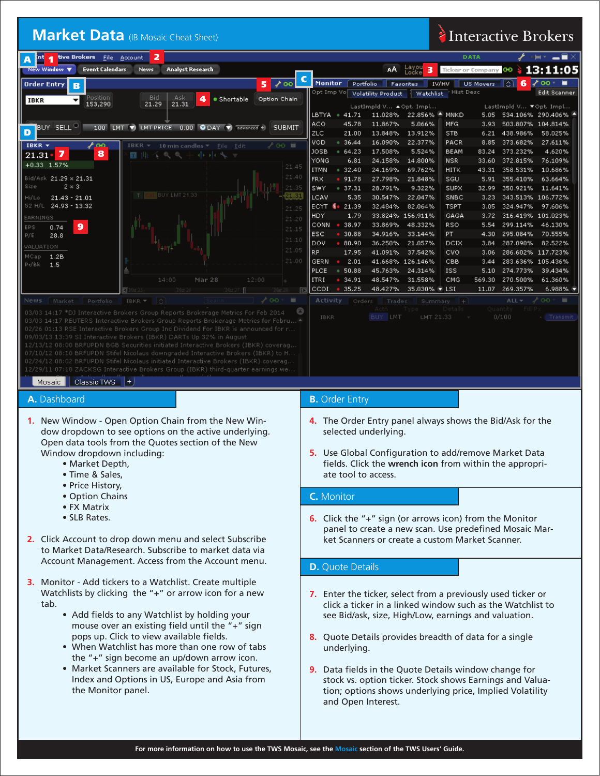# Market Data (IB Mosaic Cheat Sheet) **Interactive Brokers**

| 2<br>tive Brokers<br>Int<br>File Account<br>A                                                                                                                            | <b>DATA</b><br>╶╞╺╶═█╳                                                                                                                                                                                             |  |  |  |  |  |  |
|--------------------------------------------------------------------------------------------------------------------------------------------------------------------------|--------------------------------------------------------------------------------------------------------------------------------------------------------------------------------------------------------------------|--|--|--|--|--|--|
| <b>Event Calendars</b><br><b>Analyst Research</b><br><b>New Window</b> ▼<br><b>News</b>                                                                                  | Layou<br>Locke<br>13:11:05<br>АA<br>з<br>Ticker or Company CO                                                                                                                                                      |  |  |  |  |  |  |
| ⊁ ๏๏<br><b>Order Entry</b><br>5<br>B                                                                                                                                     | $\lambda$ 00 $\cdot$ $\blacksquare$<br><b>Monitor</b><br>$6\phantom{1}6$<br>US Movers (C)<br>Portfolio<br>IV/HV<br>Favorites<br>Opt Imp Vo∣<br>Hist Desc<br>Edit Scanner<br>Watchlist<br><b>Volatility Product</b> |  |  |  |  |  |  |
| Position<br><b>Bid</b><br>Ask<br>· Shortable<br>Option Chain<br>4<br>▾<br>IBKR<br>153,290<br>21.29<br>21.31                                                              | LastImpld V ▼ Opt. Impl                                                                                                                                                                                            |  |  |  |  |  |  |
|                                                                                                                                                                          | LastImpld V ▲ Opt. Impl<br>LBTYA<br>11.028% 22.856%<br>MNKD<br>534.106% 290.406%<br>41.71<br>C<br>5.05                                                                                                             |  |  |  |  |  |  |
| BUY SELL <sup>O</sup><br>100 LMT V LMT PRICE 0.00 ODAY V advanced +)<br>SUBMIT                                                                                           | <b>ACO</b><br>MFG<br>45.78<br>11.867%<br>5.066%<br>3.93<br>503.807% 104.814%                                                                                                                                       |  |  |  |  |  |  |
| D                                                                                                                                                                        | ZLC<br>13.912%<br>21.00<br>13.848%<br><b>STB</b><br>6.21 438.986%<br>58.025%<br>VOD<br>22.377%<br>36.44<br>16.090%<br>PACR<br>8.85<br>373.682%<br>27.611%                                                          |  |  |  |  |  |  |
| IBKR $\star$<br>∕⊙о≣<br>ممځ<br>IBKR -<br>10 min candles $\overline{\mathbf{v}}$<br>Edit<br>File<br>8<br>7<br>21.31<br>T 141<br>$\mathcal{O}_L$<br>$\oplus$<br>ele ele    | <b>JOSB</b><br>64.23<br>17.508%<br>5.524%<br><b>BEAM</b><br>83.24<br>373.232%<br>4.620%                                                                                                                            |  |  |  |  |  |  |
| +0.33 1.57%<br>21.45                                                                                                                                                     | YONG<br>14.800%<br>6.81<br>24.158%<br><b>NSR</b><br>33.60 372.815%<br>76.109%                                                                                                                                      |  |  |  |  |  |  |
| 21.40<br>Bid/Ask 21.29 x 21.31                                                                                                                                           | <b>ITMN</b><br>0.32.40<br>24.169%<br>69.762%<br>358.531%<br><b>HITK</b><br>43.31<br>10.686%<br><b>FRX</b><br>91.78<br>27.798%<br>21.848%<br>63.664%<br>SGU<br>5.91<br>355.410%                                     |  |  |  |  |  |  |
| $2 \times 3$<br>Size<br>21.35                                                                                                                                            | SWY<br>• 37.31<br>28.791%<br>9.322%<br><b>SUPX</b><br>32.99<br>350.921%<br>11.641%                                                                                                                                 |  |  |  |  |  |  |
| KL BUY LMT 21.33<br>21.31<br>$21.43 - 21.01$<br>Hi/Lo                                                                                                                    | LCAV<br>5.35<br>30.547%<br>22.047%<br>SNBC<br>343.513% 106.772%<br>3.23                                                                                                                                            |  |  |  |  |  |  |
| 52 H/L<br>24.93 - 13.32<br>21.25<br>EARNINGS                                                                                                                             | ECYT 8 21.39<br>32.484%<br>82.064%<br><b>TSPT</b><br>324.947%<br>97.606%<br>3.05<br>HDY<br>1.79<br>33.824% 156.911%<br>GAGA<br>316.419% 101.023%<br>3.72                                                           |  |  |  |  |  |  |
| 21.20<br>$\bullet$<br>EPS<br>0.74<br>21.15                                                                                                                               | 38.97<br><b>RSO</b><br>CONN<br>33.869%<br>48.332%<br>5.54<br>299.114%<br>46.130%                                                                                                                                   |  |  |  |  |  |  |
| P/E<br>28.8<br>21.10                                                                                                                                                     | ESC<br>30.88<br>34.916%<br>33.144%<br>PT<br>4.30<br>295.084%<br>70.555%                                                                                                                                            |  |  |  |  |  |  |
| <b><i>JALUATION</i></b><br>21.05                                                                                                                                         | DOV<br>• 80.90<br>36.250%<br>21.057%<br>DCIX<br>287.090%<br>82.522%<br>3.84<br>RP.<br>17.95<br>41.091%<br>37.542%<br><b>CVO</b><br>286.602% 117.723%<br>3.06                                                       |  |  |  |  |  |  |
| 1.2B<br>MCap<br>21.00<br>Pr/Bk<br>1.5                                                                                                                                    | 2.01<br>GERN<br>CBB<br>283.636% 105.436%<br>41.668% 126.146%<br>$\bullet$<br>3.44                                                                                                                                  |  |  |  |  |  |  |
|                                                                                                                                                                          | <b>PLCE</b><br>50.88<br>45.763%<br><b>ISS</b><br>274.773%<br>39.434%<br>٠<br>24.314%<br>5.10                                                                                                                       |  |  |  |  |  |  |
| 14:00<br>Mar 28<br>12:00<br>'Mar 2<br>'Mar 27   F                                                                                                                        | 34.91<br><b>ITRI</b><br>48.547%<br>31.558%<br>CMG<br>569.30<br>270.500%<br>61.360%<br>$\bullet$<br>CCOI<br>35.25<br>48.427%<br>35.030% VLSI<br>11.07<br>269.357%<br>6.988%<br>$\bullet$                            |  |  |  |  |  |  |
| ۰<br>GO.<br>News<br>Market<br>Portfolio<br>IBKR =                                                                                                                        | $ALL -$<br>GO *<br>▬<br><b>Activity</b><br>Orders<br>Trades<br>Summary                                                                                                                                             |  |  |  |  |  |  |
| O<br>03/03 14:17 *DJ Interactive Brokers Group Reports Brokerage Metrics For Feb 2014                                                                                    | Actn<br>Type<br>Quantity                                                                                                                                                                                           |  |  |  |  |  |  |
| 03/03 14:17 REUTERS Interactive Brokers Group Reports Brokerage Metrics for Febru A                                                                                      | 0/100<br>BUY LMT<br>LMT 21.33<br>IBKR<br>- Transmit                                                                                                                                                                |  |  |  |  |  |  |
| 02/26 01:13 RSE Interactive Brokers Group Inc Dividend For IBKR is announced for r<br>09/03/13 13:39 SI Interactive Brokers (IBKR) DARTs Up 32% in August                |                                                                                                                                                                                                                    |  |  |  |  |  |  |
| 12/13/12 08:00 BRFUPDN BGB Securities initiated Interactive Brokers (IBKR) coverag                                                                                       |                                                                                                                                                                                                                    |  |  |  |  |  |  |
| 07/10/12 08:10 BRFUPDN Stifel Nicolaus downgraded Interactive Brokers (IBKR) to H<br>02/24/12 08:02 BRFUPDN Stifel Nicolaus initiated Interactive Brokers (IBKR) coverag |                                                                                                                                                                                                                    |  |  |  |  |  |  |
| 12/29/11 07:10 ZACKSG Interactive Brokers Group (IBKR) third-quarter earnings we                                                                                         |                                                                                                                                                                                                                    |  |  |  |  |  |  |
| $\vert$ Classic TWS $\vert$ +<br>Mosaic                                                                                                                                  |                                                                                                                                                                                                                    |  |  |  |  |  |  |
| A. Dashboard                                                                                                                                                             | <b>B.</b> Order Entry                                                                                                                                                                                              |  |  |  |  |  |  |
| 1. New Window - Open Option Chain from the New Win-                                                                                                                      | 4. The Order Entry panel always shows the Bid/Ask for the<br>selected underlying.                                                                                                                                  |  |  |  |  |  |  |
| dow dropdown to see options on the active underlying.                                                                                                                    |                                                                                                                                                                                                                    |  |  |  |  |  |  |
| Open data tools from the Quotes section of the New                                                                                                                       |                                                                                                                                                                                                                    |  |  |  |  |  |  |
| Window dropdown including:                                                                                                                                               | 5. Use Global Configuration to add/remove Market Data                                                                                                                                                              |  |  |  |  |  |  |
| • Market Depth,                                                                                                                                                          | fields. Click the wrench icon from within the appropri-                                                                                                                                                            |  |  |  |  |  |  |
| • Time & Sales,                                                                                                                                                          | ate tool to access.                                                                                                                                                                                                |  |  |  |  |  |  |
| • Price History,<br>• Option Chains                                                                                                                                      | C. Monitor                                                                                                                                                                                                         |  |  |  |  |  |  |
| • FX Matrix                                                                                                                                                              |                                                                                                                                                                                                                    |  |  |  |  |  |  |
| • SLB Rates.                                                                                                                                                             | 6. Click the "+" sign (or arrows icon) from the Monitor                                                                                                                                                            |  |  |  |  |  |  |
|                                                                                                                                                                          | panel to create a new scan. Use predefined Mosaic Mar-                                                                                                                                                             |  |  |  |  |  |  |
| 2. Click Account to drop down menu and select Subscribe                                                                                                                  | ket Scanners or create a custom Market Scanner.                                                                                                                                                                    |  |  |  |  |  |  |
| to Market Data/Research, Subscribe to market data via                                                                                                                    |                                                                                                                                                                                                                    |  |  |  |  |  |  |
| Account Management. Access from the Account menu.                                                                                                                        | <b>D.</b> Quote Details                                                                                                                                                                                            |  |  |  |  |  |  |
| 3. Monitor - Add tickers to a Watchlist. Create multiple                                                                                                                 |                                                                                                                                                                                                                    |  |  |  |  |  |  |
| Watchlists by clicking the "+" or arrow icon for a new                                                                                                                   | 7. Enter the ticker, select from a previously used ticker or                                                                                                                                                       |  |  |  |  |  |  |
| tab.                                                                                                                                                                     | click a ticker in a linked window such as the Watchlist to                                                                                                                                                         |  |  |  |  |  |  |
| • Add fields to any Watchlist by holding your                                                                                                                            | see Bid/ask, size, High/Low, earnings and valuation.                                                                                                                                                               |  |  |  |  |  |  |
| mouse over an existing field until the "+" sign                                                                                                                          |                                                                                                                                                                                                                    |  |  |  |  |  |  |
| pops up. Click to view available fields.                                                                                                                                 | 8. Quote Details provides breadth of data for a single                                                                                                                                                             |  |  |  |  |  |  |
| • When Watchlist has more than one row of tabs<br>the "+" sign become an up/down arrow icon.                                                                             | underlying.                                                                                                                                                                                                        |  |  |  |  |  |  |
| • Market Scanners are available for Stock, Futures,                                                                                                                      | 9. Data fields in the Quote Details window change for                                                                                                                                                              |  |  |  |  |  |  |
| Index and Options in US, Europe and Asia from                                                                                                                            | stock vs. option ticker. Stock shows Earnings and Valua-                                                                                                                                                           |  |  |  |  |  |  |
| the Monitor panel.                                                                                                                                                       | tion; options shows underlying price, Implied Volatility                                                                                                                                                           |  |  |  |  |  |  |
|                                                                                                                                                                          | and Open Interest.                                                                                                                                                                                                 |  |  |  |  |  |  |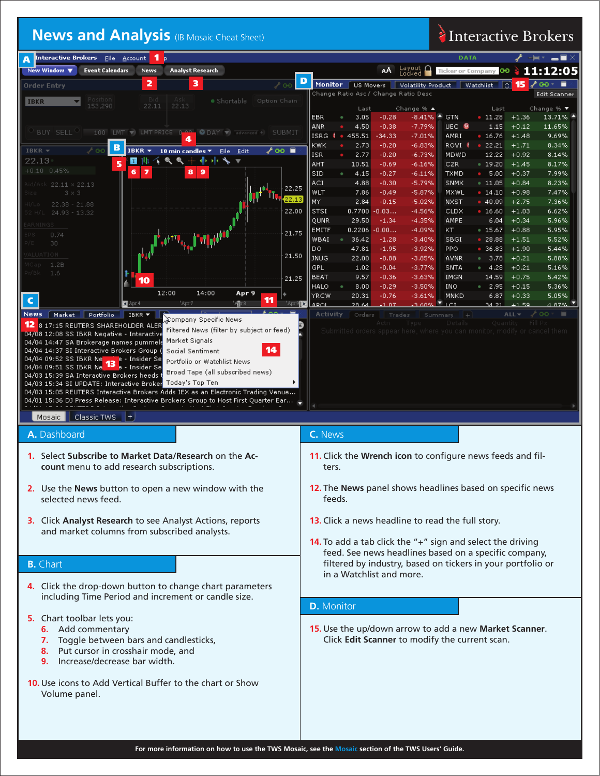### **News and Analysis** (IB Mosaic Cheat Sheet) **Interactive Brokers**